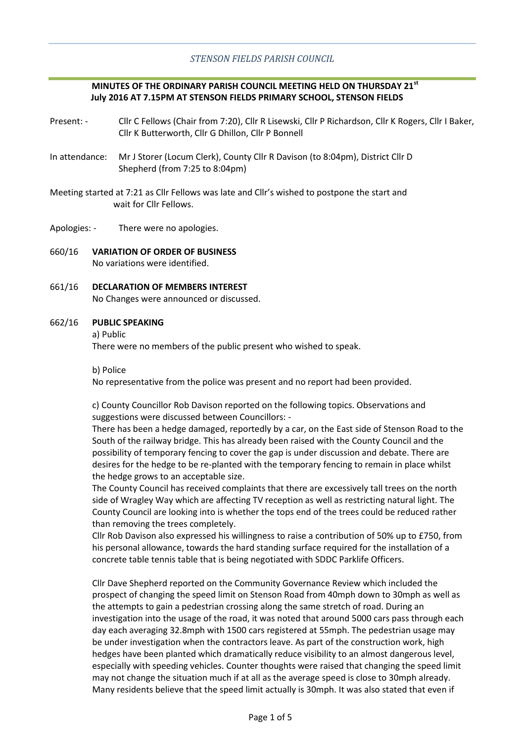## *STENSON FIELDS PARISH COUNCIL*

### **MINUTES OF THE ORDINARY PARISH COUNCIL MEETING HELD ON THURSDAY 21st July 2016 AT 7.15PM AT STENSON FIELDS PRIMARY SCHOOL, STENSON FIELDS**

- Present: Cllr C Fellows (Chair from 7:20), Cllr R Lisewski, Cllr P Richardson, Cllr K Rogers, Cllr I Baker, Cllr K Butterworth, Cllr G Dhillon, Cllr P Bonnell
- In attendance: Mr J Storer (Locum Clerk), County Cllr R Davison (to 8:04pm), District Cllr D Shepherd (from 7:25 to 8:04pm)
- Meeting started at 7:21 as Cllr Fellows was late and Cllr's wished to postpone the start and wait for Cllr Fellows.
- Apologies: There were no apologies.
- 660/16 **VARIATION OF ORDER OF BUSINESS** No variations were identified.
- 661/16 **DECLARATION OF MEMBERS INTEREST** No Changes were announced or discussed.

#### 662/16 **PUBLIC SPEAKING**

a) Public

There were no members of the public present who wished to speak.

b) Police

No representative from the police was present and no report had been provided.

c) County Councillor Rob Davison reported on the following topics. Observations and suggestions were discussed between Councillors: -

There has been a hedge damaged, reportedly by a car, on the East side of Stenson Road to the South of the railway bridge. This has already been raised with the County Council and the possibility of temporary fencing to cover the gap is under discussion and debate. There are desires for the hedge to be re-planted with the temporary fencing to remain in place whilst the hedge grows to an acceptable size.

The County Council has received complaints that there are excessively tall trees on the north side of Wragley Way which are affecting TV reception as well as restricting natural light. The County Council are looking into is whether the tops end of the trees could be reduced rather than removing the trees completely.

Cllr Rob Davison also expressed his willingness to raise a contribution of 50% up to £750, from his personal allowance, towards the hard standing surface required for the installation of a concrete table tennis table that is being negotiated with SDDC Parklife Officers.

Cllr Dave Shepherd reported on the Community Governance Review which included the prospect of changing the speed limit on Stenson Road from 40mph down to 30mph as well as the attempts to gain a pedestrian crossing along the same stretch of road. During an investigation into the usage of the road, it was noted that around 5000 cars pass through each day each averaging 32.8mph with 1500 cars registered at 55mph. The pedestrian usage may be under investigation when the contractors leave. As part of the construction work, high hedges have been planted which dramatically reduce visibility to an almost dangerous level, especially with speeding vehicles. Counter thoughts were raised that changing the speed limit may not change the situation much if at all as the average speed is close to 30mph already. Many residents believe that the speed limit actually is 30mph. It was also stated that even if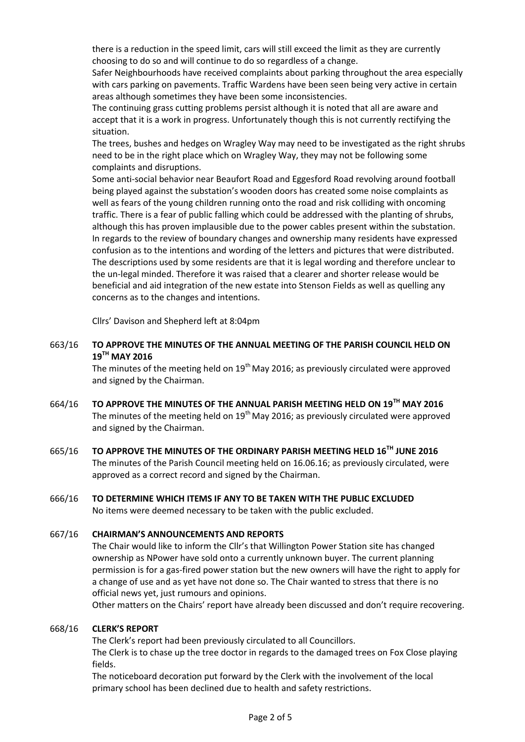there is a reduction in the speed limit, cars will still exceed the limit as they are currently choosing to do so and will continue to do so regardless of a change.

Safer Neighbourhoods have received complaints about parking throughout the area especially with cars parking on pavements. Traffic Wardens have been seen being very active in certain areas although sometimes they have been some inconsistencies.

The continuing grass cutting problems persist although it is noted that all are aware and accept that it is a work in progress. Unfortunately though this is not currently rectifying the situation.

The trees, bushes and hedges on Wragley Way may need to be investigated as the right shrubs need to be in the right place which on Wragley Way, they may not be following some complaints and disruptions.

Some anti-social behavior near Beaufort Road and Eggesford Road revolving around football being played against the substation's wooden doors has created some noise complaints as well as fears of the young children running onto the road and risk colliding with oncoming traffic. There is a fear of public falling which could be addressed with the planting of shrubs, although this has proven implausible due to the power cables present within the substation. In regards to the review of boundary changes and ownership many residents have expressed confusion as to the intentions and wording of the letters and pictures that were distributed. The descriptions used by some residents are that it is legal wording and therefore unclear to the un-legal minded. Therefore it was raised that a clearer and shorter release would be beneficial and aid integration of the new estate into Stenson Fields as well as quelling any concerns as to the changes and intentions.

Cllrs' Davison and Shepherd left at 8:04pm

663/16 **TO APPROVE THE MINUTES OF THE ANNUAL MEETING OF THE PARISH COUNCIL HELD ON 19TH MAY 2016**

The minutes of the meeting held on 19<sup>th</sup> May 2016; as previously circulated were approved and signed by the Chairman.

- 664/16 **TO APPROVE THE MINUTES OF THE ANNUAL PARISH MEETING HELD ON 19TH MAY 2016** The minutes of the meeting held on  $19<sup>th</sup>$  May 2016; as previously circulated were approved and signed by the Chairman.
- 665/16 **TO APPROVE THE MINUTES OF THE ORDINARY PARISH MEETING HELD 16TH JUNE 2016** The minutes of the Parish Council meeting held on 16.06.16; as previously circulated, were approved as a correct record and signed by the Chairman.

#### 666/16 **TO DETERMINE WHICH ITEMS IF ANY TO BE TAKEN WITH THE PUBLIC EXCLUDED** No items were deemed necessary to be taken with the public excluded.

#### 667/16 **CHAIRMAN'S ANNOUNCEMENTS AND REPORTS**

The Chair would like to inform the Cllr's that Willington Power Station site has changed ownership as NPower have sold onto a currently unknown buyer. The current planning permission is for a gas-fired power station but the new owners will have the right to apply for a change of use and as yet have not done so. The Chair wanted to stress that there is no official news yet, just rumours and opinions.

Other matters on the Chairs' report have already been discussed and don't require recovering.

#### 668/16 **CLERK'S REPORT**

The Clerk's report had been previously circulated to all Councillors.

The Clerk is to chase up the tree doctor in regards to the damaged trees on Fox Close playing fields.

The noticeboard decoration put forward by the Clerk with the involvement of the local primary school has been declined due to health and safety restrictions.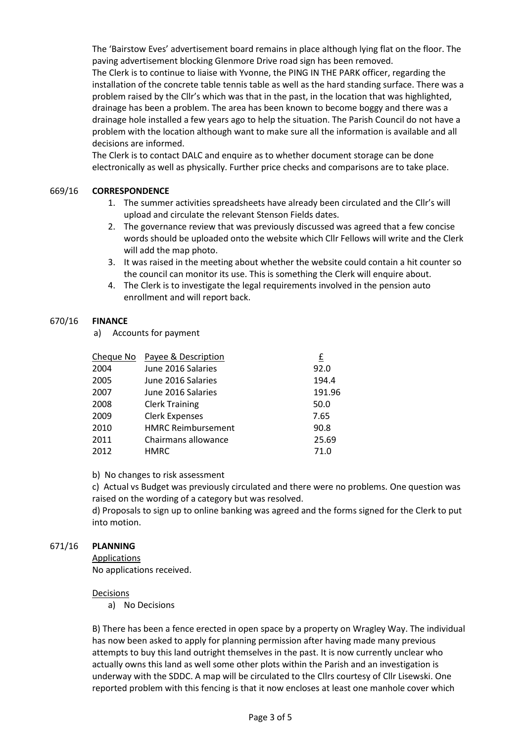The 'Bairstow Eves' advertisement board remains in place although lying flat on the floor. The paving advertisement blocking Glenmore Drive road sign has been removed.

The Clerk is to continue to liaise with Yvonne, the PING IN THE PARK officer, regarding the installation of the concrete table tennis table as well as the hard standing surface. There was a problem raised by the Cllr's which was that in the past, in the location that was highlighted, drainage has been a problem. The area has been known to become boggy and there was a drainage hole installed a few years ago to help the situation. The Parish Council do not have a problem with the location although want to make sure all the information is available and all decisions are informed.

The Clerk is to contact DALC and enquire as to whether document storage can be done electronically as well as physically. Further price checks and comparisons are to take place.

#### 669/16 **CORRESPONDENCE**

- 1. The summer activities spreadsheets have already been circulated and the Cllr's will upload and circulate the relevant Stenson Fields dates.
- 2. The governance review that was previously discussed was agreed that a few concise words should be uploaded onto the website which Cllr Fellows will write and the Clerk will add the map photo.
- 3. It was raised in the meeting about whether the website could contain a hit counter so the council can monitor its use. This is something the Clerk will enquire about.
- 4. The Clerk is to investigate the legal requirements involved in the pension auto enrollment and will report back.

#### 670/16 **FINANCE**

a) Accounts for payment

|      | Cheque No Payee & Description | £      |
|------|-------------------------------|--------|
| 2004 | June 2016 Salaries            | 92.0   |
| 2005 | June 2016 Salaries            | 194.4  |
| 2007 | June 2016 Salaries            | 191.96 |
| 2008 | <b>Clerk Training</b>         | 50.0   |
| 2009 | <b>Clerk Expenses</b>         | 7.65   |
| 2010 | <b>HMRC Reimbursement</b>     | 90.8   |
| 2011 | Chairmans allowance           | 25.69  |
| 2012 | <b>HMRC</b>                   | 71.0   |

b) No changes to risk assessment

c) Actual vs Budget was previously circulated and there were no problems. One question was raised on the wording of a category but was resolved.

d) Proposals to sign up to online banking was agreed and the forms signed for the Clerk to put into motion.

#### 671/16 **PLANNING**

Applications No applications received.

### Decisions

a) No Decisions

B) There has been a fence erected in open space by a property on Wragley Way. The individual has now been asked to apply for planning permission after having made many previous attempts to buy this land outright themselves in the past. It is now currently unclear who actually owns this land as well some other plots within the Parish and an investigation is underway with the SDDC. A map will be circulated to the Cllrs courtesy of Cllr Lisewski. One reported problem with this fencing is that it now encloses at least one manhole cover which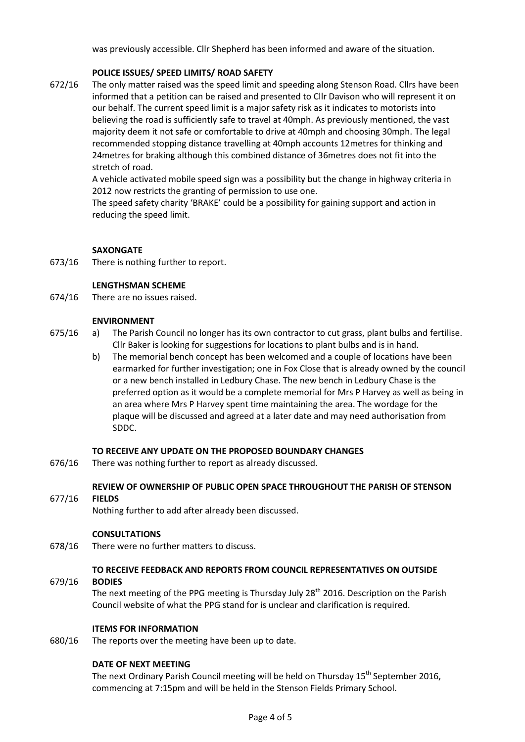was previously accessible. Cllr Shepherd has been informed and aware of the situation.

## **POLICE ISSUES/ SPEED LIMITS/ ROAD SAFETY**

672/16 The only matter raised was the speed limit and speeding along Stenson Road. Cllrs have been informed that a petition can be raised and presented to Cllr Davison who will represent it on our behalf. The current speed limit is a major safety risk as it indicates to motorists into believing the road is sufficiently safe to travel at 40mph. As previously mentioned, the vast majority deem it not safe or comfortable to drive at 40mph and choosing 30mph. The legal recommended stopping distance travelling at 40mph accounts 12metres for thinking and 24metres for braking although this combined distance of 36metres does not fit into the stretch of road.

> A vehicle activated mobile speed sign was a possibility but the change in highway criteria in 2012 now restricts the granting of permission to use one.

The speed safety charity 'BRAKE' could be a possibility for gaining support and action in reducing the speed limit.

### **SAXONGATE**

673/16 There is nothing further to report.

#### **LENGTHSMAN SCHEME**

674/16 There are no issues raised.

#### **ENVIRONMENT**

- 675/16 a) The Parish Council no longer has its own contractor to cut grass, plant bulbs and fertilise. Cllr Baker is looking for suggestions for locations to plant bulbs and is in hand.
	- b) The memorial bench concept has been welcomed and a couple of locations have been earmarked for further investigation; one in Fox Close that is already owned by the council or a new bench installed in Ledbury Chase. The new bench in Ledbury Chase is the preferred option as it would be a complete memorial for Mrs P Harvey as well as being in an area where Mrs P Harvey spent time maintaining the area. The wordage for the plaque will be discussed and agreed at a later date and may need authorisation from SDDC.

### **TO RECEIVE ANY UPDATE ON THE PROPOSED BOUNDARY CHANGES**

676/16 There was nothing further to report as already discussed.

# **REVIEW OF OWNERSHIP OF PUBLIC OPEN SPACE THROUGHOUT THE PARISH OF STENSON**

#### 677/16 **FIELDS**

Nothing further to add after already been discussed.

#### **CONSULTATIONS**

678/16 There were no further matters to discuss.

### **TO RECEIVE FEEDBACK AND REPORTS FROM COUNCIL REPRESENTATIVES ON OUTSIDE**

#### 679/16 **BODIES**

The next meeting of the PPG meeting is Thursday July  $28<sup>th</sup>$  2016. Description on the Parish Council website of what the PPG stand for is unclear and clarification is required.

### **ITEMS FOR INFORMATION**

680/16 The reports over the meeting have been up to date.

### **DATE OF NEXT MEETING**

The next Ordinary Parish Council meeting will be held on Thursday  $15<sup>th</sup>$  September 2016, commencing at 7:15pm and will be held in the Stenson Fields Primary School.